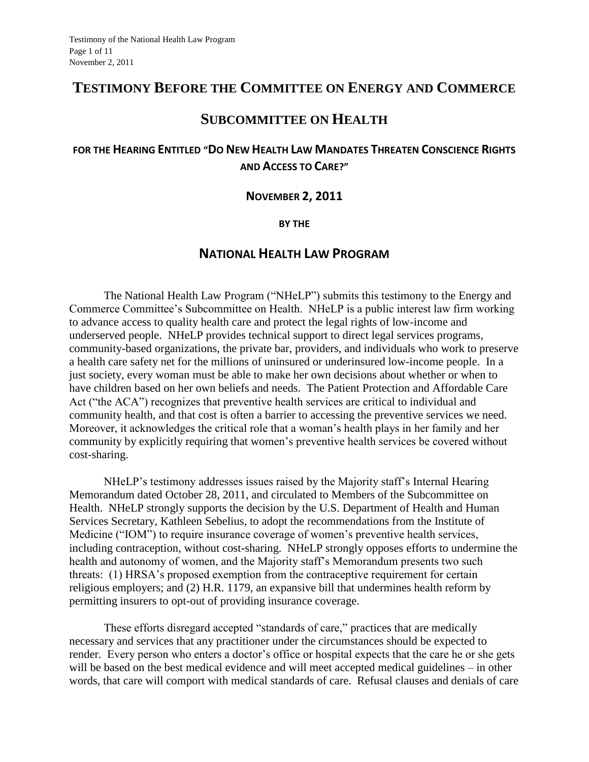# **TESTIMONY BEFORE THE COMMITTEE ON ENERGY AND COMMERCE**

# **SUBCOMMITTEE ON HEALTH**

## FOR THE HEARING ENTITLED "DO NEW HEALTH LAW MANDATES THREATEN CONSCIENCE RIGHTS **AND ACCESS TO CARE?"**

### **NOVEMBER 2, 2011**

#### **BY THE**

## **NATIONAL HEALTH LAW PROGRAM**

The National Health Law Program ("NHeLP") submits this testimony to the Energy and Commerce Committee's Subcommittee on Health. NHeLP is a public interest law firm working to advance access to quality health care and protect the legal rights of low-income and underserved people. NHeLP provides technical support to direct legal services programs, community-based organizations, the private bar, providers, and individuals who work to preserve a health care safety net for the millions of uninsured or underinsured low-income people. In a just society, every woman must be able to make her own decisions about whether or when to have children based on her own beliefs and needs. The Patient Protection and Affordable Care Act ("the ACA") recognizes that preventive health services are critical to individual and community health, and that cost is often a barrier to accessing the preventive services we need. Moreover, it acknowledges the critical role that a woman's health plays in her family and her community by explicitly requiring that women's preventive health services be covered without cost-sharing.

NHeLP's testimony addresses issues raised by the Majority staff's Internal Hearing Memorandum dated October 28, 2011, and circulated to Members of the Subcommittee on Health. NHeLP strongly supports the decision by the U.S. Department of Health and Human Services Secretary, Kathleen Sebelius, to adopt the recommendations from the Institute of Medicine ("IOM") to require insurance coverage of women's preventive health services, including contraception, without cost-sharing. NHeLP strongly opposes efforts to undermine the health and autonomy of women, and the Majority staff's Memorandum presents two such threats: (1) HRSA's proposed exemption from the contraceptive requirement for certain religious employers; and (2) H.R. 1179, an expansive bill that undermines health reform by permitting insurers to opt-out of providing insurance coverage.

These efforts disregard accepted "standards of care," practices that are medically necessary and services that any practitioner under the circumstances should be expected to render. Every person who enters a doctor's office or hospital expects that the care he or she gets will be based on the best medical evidence and will meet accepted medical guidelines – in other words, that care will comport with medical standards of care. Refusal clauses and denials of care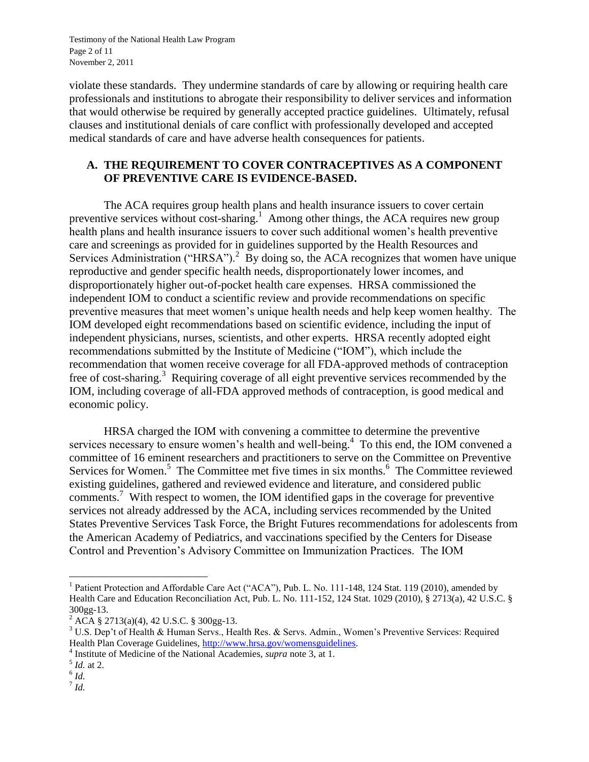Testimony of the National Health Law Program Page 2 of 11 November 2, 2011

violate these standards. They undermine standards of care by allowing or requiring health care professionals and institutions to abrogate their responsibility to deliver services and information that would otherwise be required by generally accepted practice guidelines. Ultimately, refusal clauses and institutional denials of care conflict with professionally developed and accepted medical standards of care and have adverse health consequences for patients.

### **A. THE REQUIREMENT TO COVER CONTRACEPTIVES AS A COMPONENT OF PREVENTIVE CARE IS EVIDENCE-BASED.**

The ACA requires group health plans and health insurance issuers to cover certain preventive services without cost-sharing.<sup>1</sup> Among other things, the ACA requires new group health plans and health insurance issuers to cover such additional women's health preventive care and screenings as provided for in guidelines supported by the Health Resources and Services Administration ("HRSA").<sup>2</sup> By doing so, the ACA recognizes that women have unique reproductive and gender specific health needs, disproportionately lower incomes, and disproportionately higher out-of-pocket health care expenses. HRSA commissioned the independent IOM to conduct a scientific review and provide recommendations on specific preventive measures that meet women's unique health needs and help keep women healthy. The IOM developed eight recommendations based on scientific evidence, including the input of independent physicians, nurses, scientists, and other experts. HRSA recently adopted eight recommendations submitted by the Institute of Medicine ("IOM"), which include the recommendation that women receive coverage for all FDA-approved methods of contraception free of cost-sharing.<sup>3</sup> Requiring coverage of all eight preventive services recommended by the IOM, including coverage of all-FDA approved methods of contraception, is good medical and economic policy.

HRSA charged the IOM with convening a committee to determine the preventive services necessary to ensure women's health and well-being.<sup>4</sup> To this end, the IOM convened a committee of 16 eminent researchers and practitioners to serve on the Committee on Preventive Services for Women.<sup>5</sup> The Committee met five times in six months.<sup>6</sup> The Committee reviewed existing guidelines, gathered and reviewed evidence and literature, and considered public comments.<sup>7</sup> With respect to women, the IOM identified gaps in the coverage for preventive services not already addressed by the ACA, including services recommended by the United States Preventive Services Task Force, the Bright Futures recommendations for adolescents from the American Academy of Pediatrics, and vaccinations specified by the Centers for Disease Control and Prevention's Advisory Committee on Immunization Practices. The IOM

 $\overline{\phantom{a}}$ <sup>1</sup> Patient Protection and Affordable Care Act ("ACA"), Pub. L. No. 111-148, 124 Stat. 119 (2010), amended by Health Care and Education Reconciliation Act, Pub. L. No. 111-152, 124 Stat. 1029 (2010), § 2713(a), 42 U.S.C. § 300gg-13.

 $^{2}$  ACA § 2713(a)(4), 42 U.S.C. § 300gg-13.

<sup>3</sup> U.S. Dep't of Health & Human Servs., Health Res. & Servs. Admin., Women's Preventive Services: Required Health Plan Coverage Guidelines, [http://www.hrsa.gov/womensguidelines.](http://www.hrsa.gov/womensguidelines)

<sup>4</sup> Institute of Medicine of the National Academies, *supra* note 3, at 1.

<sup>5</sup> *Id.* at 2.

<sup>6</sup> *Id.*

<sup>7</sup> *Id.*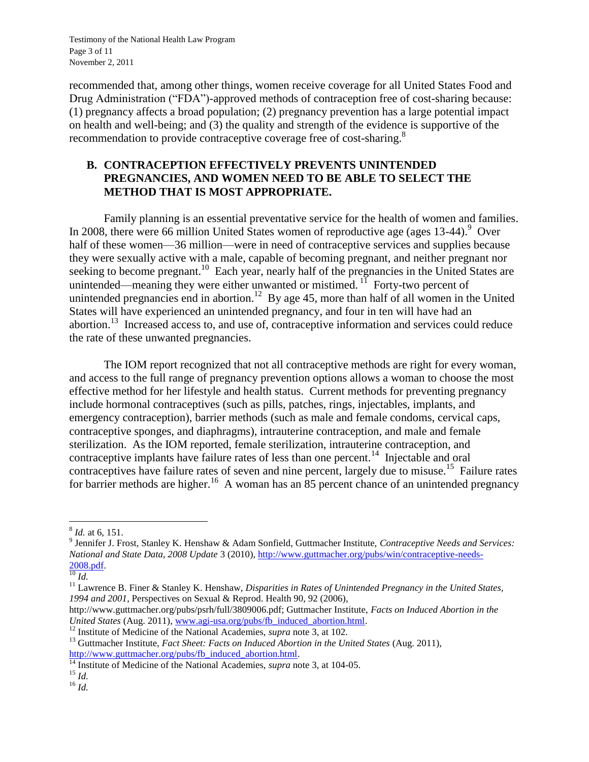Testimony of the National Health Law Program Page 3 of 11 November 2, 2011

recommended that, among other things, women receive coverage for all United States Food and Drug Administration ("FDA")-approved methods of contraception free of cost-sharing because: (1) pregnancy affects a broad population; (2) pregnancy prevention has a large potential impact on health and well-being; and (3) the quality and strength of the evidence is supportive of the recommendation to provide contraceptive coverage free of cost-sharing.<sup>8</sup>

### **B. CONTRACEPTION EFFECTIVELY PREVENTS UNINTENDED PREGNANCIES, AND WOMEN NEED TO BE ABLE TO SELECT THE METHOD THAT IS MOST APPROPRIATE.**

Family planning is an essential preventative service for the health of women and families. In 2008, there were 66 million United States women of reproductive age (ages  $13-44$ ).<sup>9</sup> Over half of these women—36 million—were in need of contraceptive services and supplies because they were sexually active with a male, capable of becoming pregnant, and neither pregnant nor seeking to become pregnant.<sup>10</sup> Each year, nearly half of the pregnancies in the United States are unintended—meaning they were either unwanted or mistimed.<sup>11</sup> Forty-two percent of unintended pregnancies end in abortion.<sup>12</sup> By age 45, more than half of all women in the United States will have experienced an unintended pregnancy, and four in ten will have had an abortion.<sup>13</sup> Increased access to, and use of, contraceptive information and services could reduce the rate of these unwanted pregnancies.

The IOM report recognized that not all contraceptive methods are right for every woman, and access to the full range of pregnancy prevention options allows a woman to choose the most effective method for her lifestyle and health status. Current methods for preventing pregnancy include hormonal contraceptives (such as pills, patches, rings, injectables, implants, and emergency contraception), barrier methods (such as male and female condoms, cervical caps, contraceptive sponges, and diaphragms), intrauterine contraception, and male and female sterilization. As the IOM reported, female sterilization, intrauterine contraception, and contraceptive implants have failure rates of less than one percent.<sup>14</sup> Injectable and oral contraceptives have failure rates of seven and nine percent, largely due to misuse.<sup>15</sup> Failure rates for barrier methods are higher.<sup>16</sup> A woman has an 85 percent chance of an unintended pregnancy

 8 *Id.* at 6, 151.

<sup>9</sup> Jennifer J. Frost, Stanley K. Henshaw & Adam Sonfield, Guttmacher Institute, *Contraceptive Needs and Services: National and State Data, 2008 Update* 3 (2010), [http://www.guttmacher.org/pubs/win/contraceptive-needs-](http://www.guttmacher.org/pubs/win/contraceptive-needs-2008.pdf)[2008.pdf.](http://www.guttmacher.org/pubs/win/contraceptive-needs-2008.pdf)

 $^{10}$  *Id.* 

<sup>&</sup>lt;sup>11</sup> Lawrence B. Finer & Stanley K. Henshaw, *Disparities in Rates of Unintended Pregnancy in the United States, 1994 and 2001*, Perspectives on Sexual & Reprod. Health 90, 92 (2006),

http://www.guttmacher.org/pubs/psrh/full/3809006.pdf; Guttmacher Institute, *Facts on Induced Abortion in the United States* (Aug. 2011), [www.agi-usa.org/pubs/fb\\_induced\\_abortion.html.](http://www.agi-usa.org/pubs/fb_induced_abortion.html)

<sup>12</sup> Institute of Medicine of the National Academies, *supra* note 3, at 102.

<sup>&</sup>lt;sup>13</sup> Guttmacher Institute, *Fact Sheet: Facts on Induced Abortion in the United States* (Aug. 2011), [http://www.guttmacher.org/pubs/fb\\_induced\\_abortion.html.](http://www.guttmacher.org/pubs/fb_induced_abortion.html) 

<sup>&</sup>lt;sup>14</sup> Institute of Medicine of the National Academies, *supra* note 3, at 104-05.

 $^{15}$  *Id.* 

<sup>16</sup> *Id.*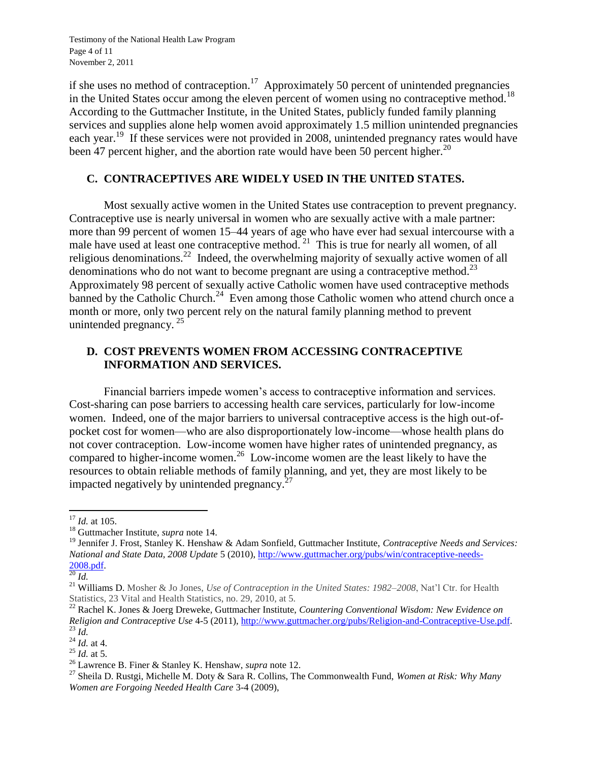Testimony of the National Health Law Program Page 4 of 11 November 2, 2011

if she uses no method of contraception.<sup>17</sup> Approximately 50 percent of unintended pregnancies in the United States occur among the eleven percent of women using no contraceptive method.<sup>18</sup> According to the Guttmacher Institute, in the United States, publicly funded family planning services and supplies alone help women avoid approximately 1.5 million unintended pregnancies each year.<sup>19</sup> If these services were not provided in 2008, unintended pregnancy rates would have been 47 percent higher, and the abortion rate would have been 50 percent higher.<sup>20</sup>

#### **C. CONTRACEPTIVES ARE WIDELY USED IN THE UNITED STATES.**

Most sexually active women in the United States use contraception to prevent pregnancy. Contraceptive use is nearly universal in women who are sexually active with a male partner: more than 99 percent of women 15–44 years of age who have ever had sexual intercourse with a male have used at least one contraceptive method.  $21$  This is true for nearly all women, of all religious denominations.<sup>22</sup> Indeed, the overwhelming majority of sexually active women of all denominations who do not want to become pregnant are using a contraceptive method.<sup>23</sup> Approximately 98 percent of sexually active Catholic women have used contraceptive methods banned by the Catholic Church.<sup>24</sup> Even among those Catholic women who attend church once a month or more, only two percent rely on the natural family planning method to prevent unintended pregnancy.<sup>25</sup>

### **D. COST PREVENTS WOMEN FROM ACCESSING CONTRACEPTIVE INFORMATION AND SERVICES.**

Financial barriers impede women's access to contraceptive information and services. Cost-sharing can pose barriers to accessing health care services, particularly for low-income women. Indeed, one of the major barriers to universal contraceptive access is the high out-ofpocket cost for women—who are also disproportionately low-income—whose health plans do not cover contraception. Low-income women have higher rates of unintended pregnancy, as compared to higher-income women.<sup>26</sup> Low-income women are the least likely to have the resources to obtain reliable methods of family planning, and yet, they are most likely to be impacted negatively by unintended pregnancy. $27$ 

 $\overline{\phantom{a}}$ <sup>17</sup> *Id.* at 105.

<sup>18</sup> Guttmacher Institute, *supra* note 14.

<sup>19</sup> Jennifer J. Frost, Stanley K. Henshaw & Adam Sonfield, Guttmacher Institute, *Contraceptive Needs and Services: National and State Data, 2008 Update* 5 (2010), [http://www.guttmacher.org/pubs/win/contraceptive-needs-](http://www.guttmacher.org/pubs/win/contraceptive-needs-2008.pdf)[2008.pdf.](http://www.guttmacher.org/pubs/win/contraceptive-needs-2008.pdf)

<sup>20</sup> *Id.*

<sup>21</sup> Williams D. Mosher & Jo Jones, *Use of Contraception in the United States: 1982–2008*, Nat'l Ctr. for Health Statistics, 23 Vital and Health Statistics, no. 29, 2010, at 5.

<sup>22</sup> Rachel K. Jones & Joerg Dreweke, Guttmacher Institute, *Countering Conventional Wisdom: New Evidence on Religion and Contraceptive Use* 4-5 (2011)[, http://www.guttmacher.org/pubs/Religion-and-Contraceptive-Use.pdf.](http://www.guttmacher.org/pubs/Religion-and-Contraceptive-Use.pdf)  $^{23}$  *Id.* 

 $^{24}$  *Id.* at 4.

<sup>25</sup> *Id.* at 5.

<sup>26</sup> Lawrence B. Finer & Stanley K. Henshaw, *supra* note 12.

<sup>27</sup> Sheila D. Rustgi, Michelle M. Doty & Sara R. Collins, The Commonwealth Fund, *Women at Risk: Why Many Women are Forgoing Needed Health Care* 3-4 (2009),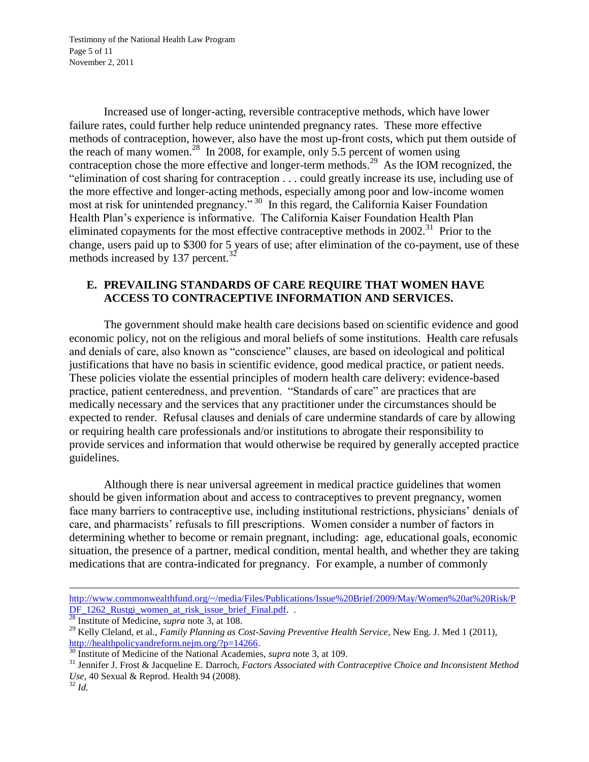Testimony of the National Health Law Program Page 5 of 11 November 2, 2011

Increased use of longer-acting, reversible contraceptive methods, which have lower failure rates, could further help reduce unintended pregnancy rates. These more effective methods of contraception, however, also have the most up-front costs, which put them outside of the reach of many women.<sup>28</sup> In 2008, for example, only 5.5 percent of women using contraception chose the more effective and longer-term methods.<sup>29</sup> As the IOM recognized, the "elimination of cost sharing for contraception . . . could greatly increase its use, including use of the more effective and longer-acting methods, especially among poor and low-income women most at risk for unintended pregnancy."<sup>30</sup> In this regard, the California Kaiser Foundation Health Plan's experience is informative. The California Kaiser Foundation Health Plan eliminated copayments for the most effective contraceptive methods in  $2002$ <sup>31</sup> Prior to the change, users paid up to \$300 for 5 years of use; after elimination of the co-payment, use of these methods increased by 137 percent. $3^2$ 

### **E. PREVAILING STANDARDS OF CARE REQUIRE THAT WOMEN HAVE ACCESS TO CONTRACEPTIVE INFORMATION AND SERVICES.**

The government should make health care decisions based on scientific evidence and good economic policy, not on the religious and moral beliefs of some institutions. Health care refusals and denials of care, also known as "conscience" clauses, are based on ideological and political justifications that have no basis in scientific evidence, good medical practice, or patient needs. These policies violate the essential principles of modern health care delivery: evidence-based practice, patient centeredness, and prevention. "Standards of care" are practices that are medically necessary and the services that any practitioner under the circumstances should be expected to render. Refusal clauses and denials of care undermine standards of care by allowing or requiring health care professionals and/or institutions to abrogate their responsibility to provide services and information that would otherwise be required by generally accepted practice guidelines.

Although there is near universal agreement in medical practice guidelines that women should be given information about and access to contraceptives to prevent pregnancy, women face many barriers to contraceptive use, including institutional restrictions, physicians' denials of care, and pharmacists' refusals to fill prescriptions. Women consider a number of factors in determining whether to become or remain pregnant, including: age, educational goals, economic situation, the presence of a partner, medical condition, mental health, and whether they are taking medications that are contra-indicated for pregnancy. For example, a number of commonly

 $\overline{\phantom{a}}$ 

[http://www.commonwealthfund.org/~/media/Files/Publications/Issue%20Brief/2009/May/Women%20at%20Risk/P](http://www.commonwealthfund.org/~/media/Files/Publications/Issue%20Brief/2009/May/Women%20at%20Risk/PDF_1262_Rustgi_women_at_risk_issue_brief_Final.pdf) [DF\\_1262\\_Rustgi\\_women\\_at\\_risk\\_issue\\_brief\\_Final.pdf.](http://www.commonwealthfund.org/~/media/Files/Publications/Issue%20Brief/2009/May/Women%20at%20Risk/PDF_1262_Rustgi_women_at_risk_issue_brief_Final.pdf) .

<sup>&</sup>lt;sup>28</sup> Institute of Medicine, *supra* note 3, at 108.

<sup>&</sup>lt;sup>29</sup> Kelly Cleland, et al., *Family Planning as Cost-Saving Preventive Health Service*, New Eng. J. Med 1 (2011), [http://healthpolicyandreform.nejm.org/?p=14266.](http://healthpolicyandreform.nejm.org/?p=14266)

<sup>30</sup> Institute of Medicine of the National Academies, *supra* note 3, at 109.

<sup>31</sup> Jennifer J. Frost & Jacqueline E. Darroch, *Factors Associated with Contraceptive Choice and Inconsistent Method Use,* 40 Sexual & Reprod. Health 94 (2008).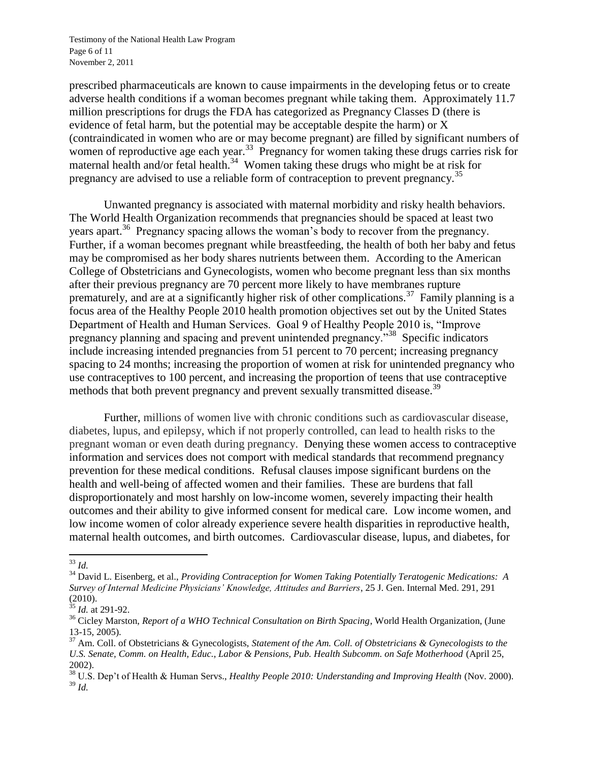Testimony of the National Health Law Program Page 6 of 11 November 2, 2011

prescribed pharmaceuticals are known to cause impairments in the developing fetus or to create adverse health conditions if a woman becomes pregnant while taking them. Approximately 11.7 million prescriptions for drugs the FDA has categorized as Pregnancy Classes D (there is evidence of fetal harm, but the potential may be acceptable despite the harm) or X (contraindicated in women who are or may become pregnant) are filled by significant numbers of women of reproductive age each year.<sup>33</sup> Pregnancy for women taking these drugs carries risk for maternal health and/or fetal health.<sup>34</sup> Women taking these drugs who might be at risk for pregnancy are advised to use a reliable form of contraception to prevent pregnancy.<sup>35</sup>

Unwanted pregnancy is associated with maternal morbidity and risky health behaviors. The World Health Organization recommends that pregnancies should be spaced at least two years apart.<sup>36</sup> Pregnancy spacing allows the woman's body to recover from the pregnancy. Further, if a woman becomes pregnant while breastfeeding, the health of both her baby and fetus may be compromised as her body shares nutrients between them. According to the American College of Obstetricians and Gynecologists, women who become pregnant less than six months after their previous pregnancy are 70 percent more likely to have membranes rupture prematurely, and are at a significantly higher risk of other complications.<sup>37</sup> Family planning is a focus area of the Healthy People 2010 health promotion objectives set out by the United States Department of Health and Human Services. Goal 9 of Healthy People 2010 is, "Improve pregnancy planning and spacing and prevent unintended pregnancy.<sup>338</sup> Specific indicators include increasing intended pregnancies from 51 percent to 70 percent; increasing pregnancy spacing to 24 months; increasing the proportion of women at risk for unintended pregnancy who use contraceptives to 100 percent, and increasing the proportion of teens that use contraceptive methods that both prevent pregnancy and prevent sexually transmitted disease.<sup>39</sup>

Further, millions of women live with chronic conditions such as cardiovascular disease, diabetes, lupus, and epilepsy, which if not properly controlled, can lead to health risks to the pregnant woman or even death during pregnancy. Denying these women access to contraceptive information and services does not comport with medical standards that recommend pregnancy prevention for these medical conditions. Refusal clauses impose significant burdens on the health and well-being of affected women and their families. These are burdens that fall disproportionately and most harshly on low-income women, severely impacting their health outcomes and their ability to give informed consent for medical care. Low income women, and low income women of color already experience severe health disparities in reproductive health, maternal health outcomes, and birth outcomes. Cardiovascular disease, lupus, and diabetes, for

 $\overline{a}$ <sup>33</sup> *Id.*

<sup>34</sup> David L. Eisenberg, et al., *Providing Contraception for Women Taking Potentially Teratogenic Medications: A Survey of Internal Medicine Physicians' Knowledge, Attitudes and Barriers*, 25 J. Gen. Internal Med. 291, 291 (2010).

<sup>35</sup> *Id.* at 291-92.

<sup>36</sup> Cicley Marston, *Report of a WHO Technical Consultation on Birth Spacing*, World Health Organization, (June 13-15, 2005).

<sup>37</sup> Am. Coll. of Obstetricians & Gynecologists, *Statement of the Am. Coll. of Obstetricians & Gynecologists to the U.S. Senate, Comm. on Health, Educ., Labor & Pensions, Pub. Health Subcomm. on Safe Motherhood* (April 25, 2002).

<sup>38</sup> U.S. Dep't of Health & Human Servs., *Healthy People 2010: Understanding and Improving Health* (Nov. 2000). <sup>39</sup> *Id.*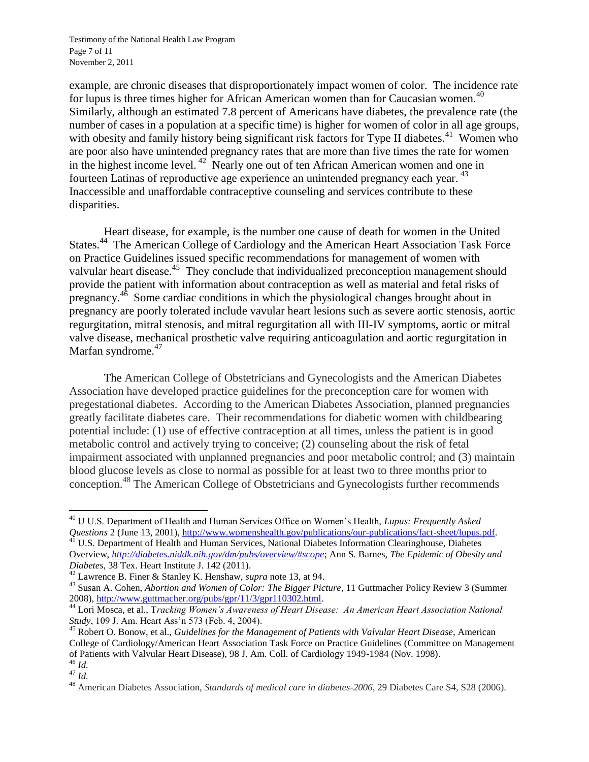Testimony of the National Health Law Program Page 7 of 11 November 2, 2011

example, are chronic diseases that disproportionately impact women of color. The incidence rate for lupus is three times higher for African American women than for Caucasian women.<sup>40</sup> Similarly, although an estimated 7.8 percent of Americans have diabetes, the prevalence rate (the number of cases in a population at a specific time) is higher for women of color in all age groups, with obesity and family history being significant risk factors for Type II diabetes.<sup>41</sup> Women who are poor also have unintended pregnancy rates that are more than five times the rate for women in the highest income level.<sup>42</sup> Nearly one out of ten African American women and one in fourteen Latinas of reproductive age experience an unintended pregnancy each year. <sup>43</sup> Inaccessible and unaffordable contraceptive counseling and services contribute to these disparities.

Heart disease, for example, is the number one cause of death for women in the United States.<sup>44</sup> The American College of Cardiology and the American Heart Association Task Force on Practice Guidelines issued specific recommendations for management of women with valvular heart disease.<sup>45</sup> They conclude that individualized preconception management should provide the patient with information about contraception as well as material and fetal risks of pregnancy.<sup>46</sup> Some cardiac conditions in which the physiological changes brought about in pregnancy are poorly tolerated include vavular heart lesions such as severe aortic stenosis, aortic regurgitation, mitral stenosis, and mitral regurgitation all with III-IV symptoms, aortic or mitral valve disease, mechanical prosthetic valve requiring anticoagulation and aortic regurgitation in Marfan syndrome.<sup>47</sup>

The American College of Obstetricians and Gynecologists and the American Diabetes Association have developed practice guidelines for the preconception care for women with pregestational diabetes. According to the American Diabetes Association, planned pregnancies greatly facilitate diabetes care. Their recommendations for diabetic women with childbearing potential include: (1) use of effective contraception at all times, unless the patient is in good metabolic control and actively trying to conceive; (2) counseling about the risk of fetal impairment associated with unplanned pregnancies and poor metabolic control; and (3) maintain blood glucose levels as close to normal as possible for at least two to three months prior to conception.<sup>48</sup> The American College of Obstetricians and Gynecologists further recommends

 $\overline{\phantom{a}}$ <sup>40</sup> U U.S. Department of Health and Human Services Office on Women's Health, *Lupus: Frequently Asked Questions* 2 (June 13, 2001), [http://www.womenshealth.gov/publications/our-publications/fact-sheet/lupus.pdf.](http://www.womenshealth.gov/publications/our-publications/fact-sheet/lupus.pdf)

<sup>&</sup>lt;sup>41</sup> U.S. Department of Health and Human Services, National Diabetes Information Clearinghouse, Diabetes Overview, *<http://diabetes.niddk.nih.gov/dm/pubs/overview/#scope>*; Ann S. Barnes, *The Epidemic of Obesity and Diabetes*, 38 Tex. Heart Institute J. 142 (2011).

<sup>42</sup> Lawrence B. Finer & Stanley K. Henshaw, *supra* note 13, at 94.

<sup>43</sup> Susan A. Cohen, *Abortion and Women of Color: The Bigger Picture*, 11 Guttmacher Policy Review 3 (Summer 2008), [http://www.guttmacher.org/pubs/gpr/11/3/gpr110302.html.](http://www.guttmacher.org/pubs/gpr/11/3/gpr110302.html) 

<sup>44</sup> Lori Mosca, et al., T*racking Women's Awareness of Heart Disease: An American Heart Association National Study*, 109 J. Am. Heart Ass'n 573 (Feb. 4, 2004).

<sup>45</sup> Robert O. Bonow, et al., *Guidelines for the Management of Patients with Valvular Heart Disease*, American College of Cardiology/American Heart Association Task Force on Practice Guidelines (Committee on Management of Patients with Valvular Heart Disease), 98 J. Am. Coll. of Cardiology 1949-1984 (Nov. 1998). <sup>46</sup> *Id.*

<sup>47</sup> *Id.*

<sup>48</sup> American Diabetes Association, *Standards of medical care in diabetes-2006*, 29 Diabetes Care S4, S28 (2006).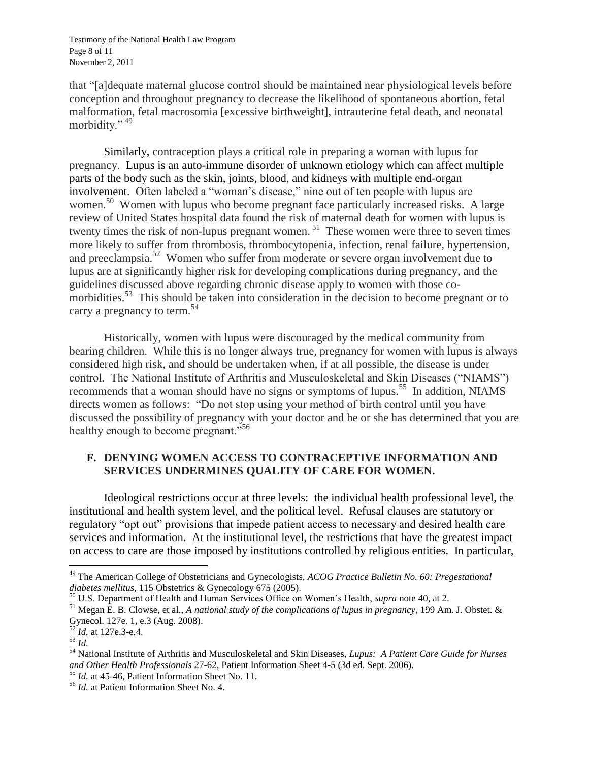Testimony of the National Health Law Program Page 8 of 11 November 2, 2011

that "[a]dequate maternal glucose control should be maintained near physiological levels before conception and throughout pregnancy to decrease the likelihood of spontaneous abortion, fetal malformation, fetal macrosomia [excessive birthweight], intrauterine fetal death, and neonatal morbidity." 49

Similarly, contraception plays a critical role in preparing a woman with lupus for pregnancy. Lupus is an auto-immune disorder of unknown etiology which can affect multiple parts of the body such as the skin, joints, blood, and kidneys with multiple end-organ involvement. Often labeled a "woman's disease," nine out of ten people with lupus are women.<sup>50</sup> Women with lupus who become pregnant face particularly increased risks. A large review of United States hospital data found the risk of maternal death for women with lupus is twenty times the risk of non-lupus pregnant women.<sup>51</sup> These women were three to seven times more likely to suffer from thrombosis, thrombocytopenia, infection, renal failure, hypertension, and preeclampsia.<sup>52</sup> Women who suffer from moderate or severe organ involvement due to lupus are at significantly higher risk for developing complications during pregnancy, and the guidelines discussed above regarding chronic disease apply to women with those comorbidities.<sup>53</sup> This should be taken into consideration in the decision to become pregnant or to carry a pregnancy to term.<sup>54</sup>

Historically, women with lupus were discouraged by the medical community from bearing children. While this is no longer always true, pregnancy for women with lupus is always considered high risk, and should be undertaken when, if at all possible, the disease is under control. The National Institute of Arthritis and Musculoskeletal and Skin Diseases ("NIAMS") recommends that a woman should have no signs or symptoms of lupus.<sup>55</sup> In addition, NIAMS directs women as follows: "Do not stop using your method of birth control until you have discussed the possibility of pregnancy with your doctor and he or she has determined that you are healthy enough to become pregnant."<sup>56</sup>

### **F. DENYING WOMEN ACCESS TO CONTRACEPTIVE INFORMATION AND SERVICES UNDERMINES QUALITY OF CARE FOR WOMEN.**

Ideological restrictions occur at three levels: the individual health professional level, the institutional and health system level, and the political level. Refusal clauses are statutory or regulatory "opt out" provisions that impede patient access to necessary and desired health care services and information. At the institutional level, the restrictions that have the greatest impact on access to care are those imposed by institutions controlled by religious entities. In particular,

 $\overline{a}$ 

<sup>49</sup> The American College of Obstetricians and Gynecologists, *ACOG Practice Bulletin No. 60: Pregestational diabetes mellitus*, 115 Obstetrics & Gynecology 675 (2005).

<sup>50</sup> U.S. Department of Health and Human Services Office on Women's Health, *supra* note 40, at 2.

<sup>51</sup> Megan E. B. Clowse, et al., *A national study of the complications of lupus in pregnancy*, 199 Am. J. Obstet. & Gynecol. 127e. 1, e.3 (Aug. 2008).

<sup>&</sup>lt;sup>52</sup>*Id.* at 127e.3-e.4.

<sup>53</sup> *Id.*

<sup>54</sup> National Institute of Arthritis and Musculoskeletal and Skin Diseases, *Lupus: A Patient Care Guide for Nurses and Other Health Professionals* 27-62, Patient Information Sheet 4-5 (3d ed. Sept. 2006).

<sup>55</sup> *Id.* at 45-46, Patient Information Sheet No. 11.

<sup>56</sup> *Id.* at Patient Information Sheet No. 4.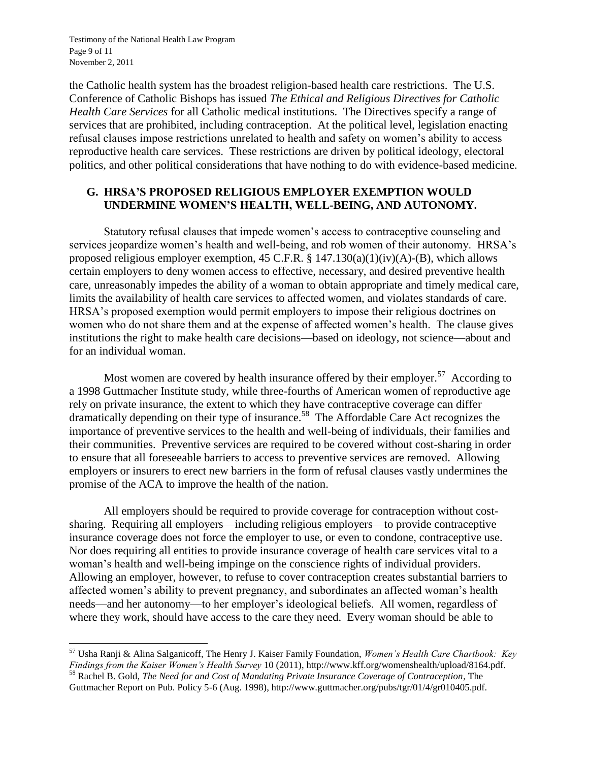Testimony of the National Health Law Program Page 9 of 11 November 2, 2011

 $\overline{\phantom{a}}$ 

the Catholic health system has the broadest religion-based health care restrictions. The U.S. Conference of Catholic Bishops has issued *The Ethical and Religious Directives for Catholic Health Care Services* for all Catholic medical institutions. The Directives specify a range of services that are prohibited, including contraception. At the political level, legislation enacting refusal clauses impose restrictions unrelated to health and safety on women's ability to access reproductive health care services. These restrictions are driven by political ideology, electoral politics, and other political considerations that have nothing to do with evidence-based medicine.

#### **G. HRSA'S PROPOSED RELIGIOUS EMPLOYER EXEMPTION WOULD UNDERMINE WOMEN'S HEALTH, WELL-BEING, AND AUTONOMY.**

Statutory refusal clauses that impede women's access to contraceptive counseling and services jeopardize women's health and well-being, and rob women of their autonomy. HRSA's proposed religious employer exemption, 45 C.F.R.  $\S$  147.130(a)(1)(iv)(A)-(B), which allows certain employers to deny women access to effective, necessary, and desired preventive health care, unreasonably impedes the ability of a woman to obtain appropriate and timely medical care, limits the availability of health care services to affected women, and violates standards of care. HRSA's proposed exemption would permit employers to impose their religious doctrines on women who do not share them and at the expense of affected women's health. The clause gives institutions the right to make health care decisions—based on ideology, not science—about and for an individual woman.

Most women are covered by health insurance offered by their employer.<sup>57</sup> According to a 1998 Guttmacher Institute study, while three-fourths of American women of reproductive age rely on private insurance, the extent to which they have contraceptive coverage can differ dramatically depending on their type of insurance.<sup>58</sup> The Affordable Care Act recognizes the importance of preventive services to the health and well-being of individuals, their families and their communities. Preventive services are required to be covered without cost-sharing in order to ensure that all foreseeable barriers to access to preventive services are removed. Allowing employers or insurers to erect new barriers in the form of refusal clauses vastly undermines the promise of the ACA to improve the health of the nation.

All employers should be required to provide coverage for contraception without costsharing. Requiring all employers—including religious employers—to provide contraceptive insurance coverage does not force the employer to use, or even to condone, contraceptive use. Nor does requiring all entities to provide insurance coverage of health care services vital to a woman's health and well-being impinge on the conscience rights of individual providers. Allowing an employer, however, to refuse to cover contraception creates substantial barriers to affected women's ability to prevent pregnancy, and subordinates an affected woman's health needs—and her autonomy—to her employer's ideological beliefs. All women, regardless of where they work, should have access to the care they need. Every woman should be able to

Guttmacher Report on Pub. Policy 5-6 (Aug. 1998), http://www.guttmacher.org/pubs/tgr/01/4/gr010405.pdf.

<sup>57</sup> Usha Ranji & Alina Salganicoff, The Henry J. Kaiser Family Foundation, *Women's Health Care Chartbook: Key Findings from the Kaiser Women's Health Survey* 10 (2011), http://www.kff.org/womenshealth/upload/8164.pdf. <sup>58</sup> Rachel B. Gold, *The Need for and Cost of Mandating Private Insurance Coverage of Contraception*, The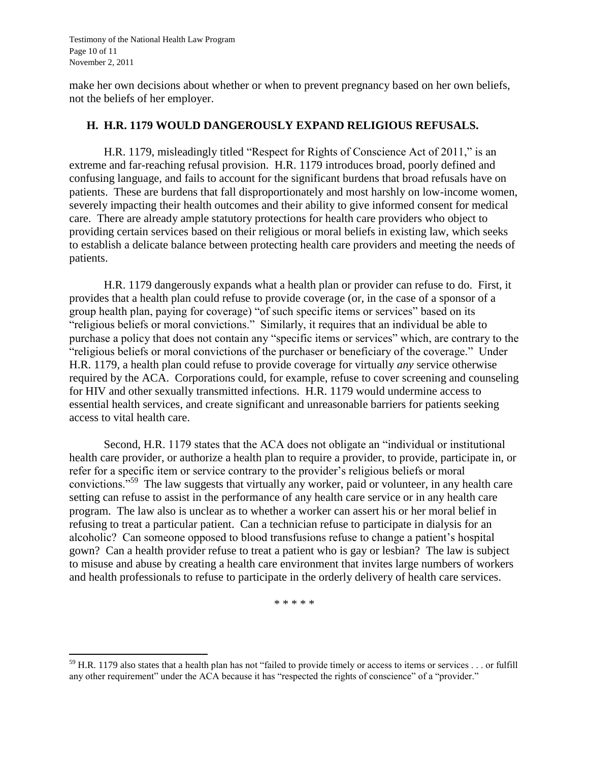Testimony of the National Health Law Program Page 10 of 11 November 2, 2011

make her own decisions about whether or when to prevent pregnancy based on her own beliefs, not the beliefs of her employer.

#### **H. H.R. 1179 WOULD DANGEROUSLY EXPAND RELIGIOUS REFUSALS.**

H.R. 1179, misleadingly titled "Respect for Rights of Conscience Act of 2011," is an extreme and far-reaching refusal provision. H.R. 1179 introduces broad, poorly defined and confusing language, and fails to account for the significant burdens that broad refusals have on patients. These are burdens that fall disproportionately and most harshly on low-income women, severely impacting their health outcomes and their ability to give informed consent for medical care. There are already ample statutory protections for health care providers who object to providing certain services based on their religious or moral beliefs in existing law, which seeks to establish a delicate balance between protecting health care providers and meeting the needs of patients.

H.R. 1179 dangerously expands what a health plan or provider can refuse to do. First, it provides that a health plan could refuse to provide coverage (or, in the case of a sponsor of a group health plan, paying for coverage) "of such specific items or services" based on its "religious beliefs or moral convictions." Similarly, it requires that an individual be able to purchase a policy that does not contain any "specific items or services" which, are contrary to the "religious beliefs or moral convictions of the purchaser or beneficiary of the coverage." Under H.R. 1179, a health plan could refuse to provide coverage for virtually *any* service otherwise required by the ACA. Corporations could, for example, refuse to cover screening and counseling for HIV and other sexually transmitted infections. H.R. 1179 would undermine access to essential health services, and create significant and unreasonable barriers for patients seeking access to vital health care.

Second, H.R. 1179 states that the ACA does not obligate an "individual or institutional health care provider, or authorize a health plan to require a provider, to provide, participate in, or refer for a specific item or service contrary to the provider's religious beliefs or moral convictions."<sup>59</sup> The law suggests that virtually any worker, paid or volunteer, in any health care setting can refuse to assist in the performance of any health care service or in any health care program. The law also is unclear as to whether a worker can assert his or her moral belief in refusing to treat a particular patient. Can a technician refuse to participate in dialysis for an alcoholic? Can someone opposed to blood transfusions refuse to change a patient's hospital gown? Can a health provider refuse to treat a patient who is gay or lesbian? The law is subject to misuse and abuse by creating a health care environment that invites large numbers of workers and health professionals to refuse to participate in the orderly delivery of health care services.

\* \* \* \* \*

 $\overline{\phantom{a}}$  $<sup>59</sup>$  H.R. 1179 also states that a health plan has not "failed to provide timely or access to items or services . . . or fulfill</sup> any other requirement" under the ACA because it has "respected the rights of conscience" of a "provider."